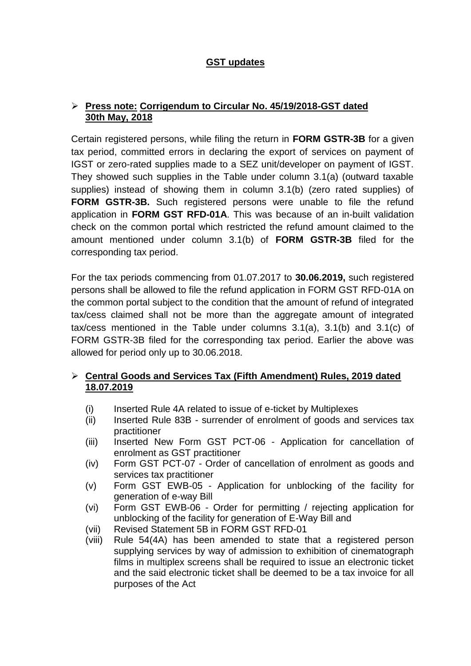## **GST updates**

## **Press note: Corrigendum to Circular No. 45/19/2018-GST dated 30th May, 2018**

Certain registered persons, while filing the return in **[FORM GSTR-3B](https://taxguru.in/goods-and-service-tax/recent-changes-form-gstr3b.html)** for a given tax period, committed errors in declaring the export of services on payment of IGST or zero-rated supplies made to a SEZ unit/developer on payment of IGST. They showed such supplies in the Table under column 3.1(a) (outward taxable supplies) instead of showing them in column 3.1(b) (zero rated supplies) of **FORM GSTR-3B.** Such registered persons were unable to file the refund application in **FORM GST RFD-01A**. This was because of an in-built validation check on the common portal which restricted the refund amount claimed to the amount mentioned under column 3.1(b) of **FORM GSTR-3B** filed for the corresponding tax period.

For the tax periods commencing from 01.07.2017 to **30.06.2019,** such registered persons shall be allowed to file the refund application in FORM GST RFD-01A on the common portal subject to the condition that the amount of refund of integrated tax/cess claimed shall not be more than the aggregate amount of integrated tax/cess mentioned in the Table under columns 3.1(a), 3.1(b) and 3.1(c) of FORM GSTR-3B filed for the corresponding tax period. Earlier the above was allowed for period only up to 30.06.2018.

## **Central Goods and Services Tax (Fifth Amendment) Rules, 2019 dated 18.07.2019**

- (i) Inserted Rule 4A related to issue of e-ticket by Multiplexes
- (ii) Inserted Rule 83B surrender of enrolment of goods and services tax practitioner
- (iii) Inserted New Form GST PCT-06 Application for cancellation of enrolment as GST practitioner
- (iv) Form GST PCT-07 Order of cancellation of enrolment as goods and services tax practitioner
- (v) Form GST EWB-05 Application for unblocking of the facility for generation of e-way Bill
- (vi) Form GST EWB-06 Order for permitting / rejecting application for unblocking of the facility for generation of E-Way Bill and
- (vii) Revised Statement 5B in FORM GST RFD-01
- (viii) Rule 54(4A) has been amended to state that a registered person supplying services by way of admission to exhibition of cinematograph films in multiplex screens shall be required to issue an electronic ticket and the said electronic ticket shall be deemed to be a tax invoice for all purposes of the Act